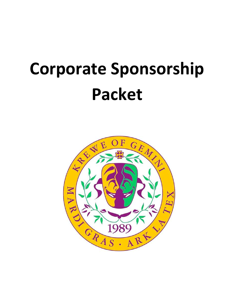#### **Corporate Sponsorship Packet**

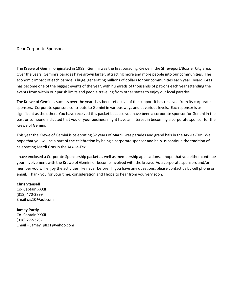Dear Corporate Sponsor,

The Krewe of Gemini originated in 1989. Gemini was the first parading Krewe in the Shreveport/Bossier City area. Over the years, Gemini's parades have grown larger, attracting more and more people into our communities. The economic impact of each parade is huge, generating millions of dollars for our communities each year. Mardi Gras has become one of the biggest events of the year, with hundreds of thousands of patrons each year attending the events from within our parish limits and people traveling from other states to enjoy our local parades.

The Krewe of Gemini's success over the years has been reflective of the support it has received from its corporate sponsors. Corporate sponsors contribute to Gemini in various ways and at various levels. Each sponsor is as significant as the other. You have received this packet because you have been a corporate sponsor for Gemini in the past or someone indicated that you or your business might have an interest in becoming a corporate sponsor for the Krewe of Gemini.

This year the Krewe of Gemini is celebrating 32 years of Mardi Gras parades and grand bals in the Ark-La-Tex. We hope that you will be a part of the celebration by being a corporate sponsor and help us continue the tradition of celebrating Mardi Gras in the Ark-La-Tex.

I have enclosed a Corporate Sponsorship packet as well as membership applications. I hope that you either continue your involvement with the Krewe of Gemini or become involved with the krewe. As a corporate sponsors and/or member you will enjoy the activities like never before. If you have any questions, please contact us by cell phone or email. Thank you for your time, consideration and I hope to hear from you very soon.

#### **Chris Stansell**

Co- Captain XXXII (318) 470-2899 Email css10@aol.com

**Jamey Purdy** Co- Captain XXXII (318) 272-3297 Email – Jamey\_p831@yahoo.com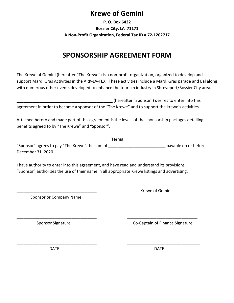#### **Krewe of Gemini**

**P. O. Box 6432 Bossier City, LA 71171 A Non-Profit Organization, Federal Tax ID # 72-1202717**

#### **SPONSORSHIP AGREEMENT FORM**

The Krewe of Gemini (hereafter "The Krewe") is a non-profit organization, organized to develop and support Mardi Gras Activities in the ARK-LA-TEX. These activities include a Mardi Gras parade and Bal along with numerous other events developed to enhance the tourism industry in Shreveport/Bossier City area.

|                                                                                                  |  | (hereafter "Sponsor") desires to enter into this |
|--------------------------------------------------------------------------------------------------|--|--------------------------------------------------|
| agreement in order to become a sponsor of the "The Krewe" and to support the krewe's activities. |  |                                                  |

Attached hereto and made part of this agreement is the levels of the sponsorship packages detailing benefits agreed to by "The Krewe" and "Sponsor".

**Terms** "Sponsor" agrees to pay "The Krewe" the sum of \_\_\_\_\_\_\_\_\_\_\_\_\_\_\_\_\_\_\_\_\_\_\_\_\_\_\_\_\_\_\_\_\_ payable on or before December 31, 2020.

I have authority to enter into this agreement, and have read and understand its provisions. "Sponsor" authorizes the use of their name in all appropriate Krewe listings and advertising.

\_\_\_\_\_\_\_\_\_\_\_\_\_\_\_\_\_\_\_\_\_\_\_\_\_\_\_\_\_\_\_\_\_\_\_ \_\_\_\_\_\_\_\_\_\_\_\_\_\_\_\_\_\_\_\_\_\_\_\_\_\_\_\_\_\_\_

\_\_\_\_\_\_\_\_\_\_\_\_\_\_\_\_\_\_\_\_\_\_\_\_\_\_\_\_\_\_\_\_\_\_\_ \_\_\_\_\_\_\_\_\_\_\_\_\_\_\_\_\_\_\_\_\_\_\_\_\_\_\_\_\_\_\_\_

Sponsor or Company Name

\_\_\_\_\_\_\_\_\_\_\_\_\_\_\_\_\_\_\_\_\_\_\_\_\_\_\_\_\_\_\_\_\_\_\_ Krewe of Gemini

Sponsor Signature Co-Captain of Finance Signature

DATE DATE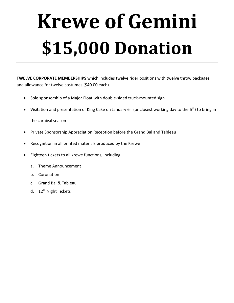# **Krewe of Gemini \$15,000 Donation**

**TWELVE CORPORATE MEMBERSHIPS** which includes twelve rider positions with twelve throw packages and allowance for twelve costumes (\$40.00 each).

- Sole sponsorship of a Major Float with double-sided truck-mounted sign
- Visitation and presentation of King Cake on January  $6<sup>th</sup>$  (or closest working day to the  $6<sup>th</sup>$ ) to bring in

- Private Sponsorship Appreciation Reception before the Grand Bal and Tableau
- Recognition in all printed materials produced by the Krewe
- Eighteen tickets to all krewe functions, including
	- a. Theme Announcement
	- b. Coronation
	- c. Grand Bal & Tableau
	- d. 12<sup>th</sup> Night Tickets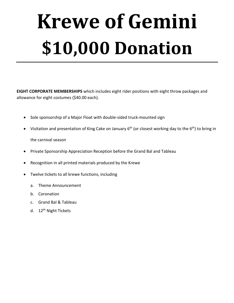# **Krewe of Gemini \$10,000 Donation**

**EIGHT CORPORATE MEMBERSHIPS** which includes eight rider positions with eight throw packages and allowance for eight costumes (\$40.00 each).

- Sole sponsorship of a Major Float with double-sided truck-mounted sign
- Visitation and presentation of King Cake on January 6<sup>th</sup> (or closest working day to the 6<sup>th</sup>) to bring in the carnival season
- Private Sponsorship Appreciation Reception before the Grand Bal and Tableau
- Recognition in all printed materials produced by the Krewe
- Twelve tickets to all krewe functions, including
	- a. Theme Announcement
	- b. Coronation
	- c. Grand Bal & Tableau
	- d. 12<sup>th</sup> Night Tickets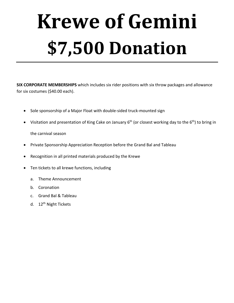# **Krewe of Gemini \$7,500 Donation**

**SIX CORPORATE MEMBERSHIPS** which includes six rider positions with six throw packages and allowance for six costumes (\$40.00 each).

- Sole sponsorship of a Major Float with double-sided truck-mounted sign
- Visitation and presentation of King Cake on January  $6<sup>th</sup>$  (or closest working day to the  $6<sup>th</sup>$ ) to bring in

- Private Sponsorship Appreciation Reception before the Grand Bal and Tableau
- Recognition in all printed materials produced by the Krewe
- Ten tickets to all krewe functions, including
	- a. Theme Announcement
	- b. Coronation
	- c. Grand Bal & Tableau
	- d. 12<sup>th</sup> Night Tickets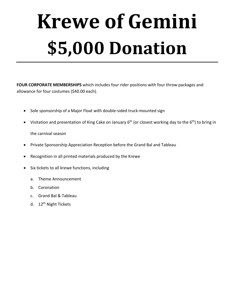# **Krewe of Gemini \$5,000 Donation**

**FOUR CORPORATE MEMBERSHIPS** which includes four rider positions with four throw packages and allowance for four costumes (\$40.00 each).

- Sole sponsorship of a Major Float with double-sided truck-mounted sign
- Visitation and presentation of King Cake on January  $6<sup>th</sup>$  (or closest working day to the  $6<sup>th</sup>$ ) to bring in

- Private Sponsorship Appreciation Reception before the Grand Bal and Tableau
- Recognition in all printed materials produced by the Krewe
- Six tickets to all krewe functions, including
	- a. Theme Announcement
	- b. Coronation
	- c. Grand Bal & Tableau
	- d. 12<sup>th</sup> Night Tickets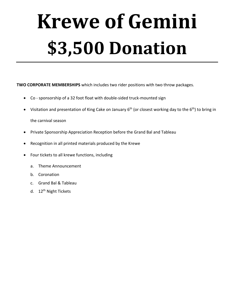# **Krewe of Gemini \$3,500 Donation**

**TWO CORPORATE MEMBERSHIPS** which includes two rider positions with two throw packages.

- Co sponsorship of a 32 foot float with double-sided truck-mounted sign
- Visitation and presentation of King Cake on January  $6<sup>th</sup>$  (or closest working day to the  $6<sup>th</sup>$ ) to bring in

- Private Sponsorship Appreciation Reception before the Grand Bal and Tableau
- Recognition in all printed materials produced by the Krewe
- Four tickets to all krewe functions, including
	- a. Theme Announcement
	- b. Coronation
	- c. Grand Bal & Tableau
	- d. 12<sup>th</sup> Night Tickets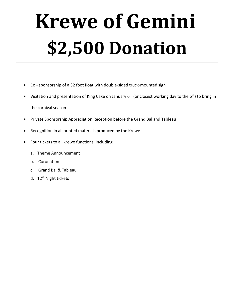## **Krewe of Gemini \$2,500 Donation**

- Co sponsorship of a 32 foot float with double-sided truck-mounted sign
- Visitation and presentation of King Cake on January  $6<sup>th</sup>$  (or closest working day to the  $6<sup>th</sup>$ ) to bring in

- Private Sponsorship Appreciation Reception before the Grand Bal and Tableau
- Recognition in all printed materials produced by the Krewe
- Four tickets to all krewe functions, including
	- a. Theme Announcement
	- b. Coronation
	- c. Grand Bal & Tableau
	- d. 12<sup>th</sup> Night tickets